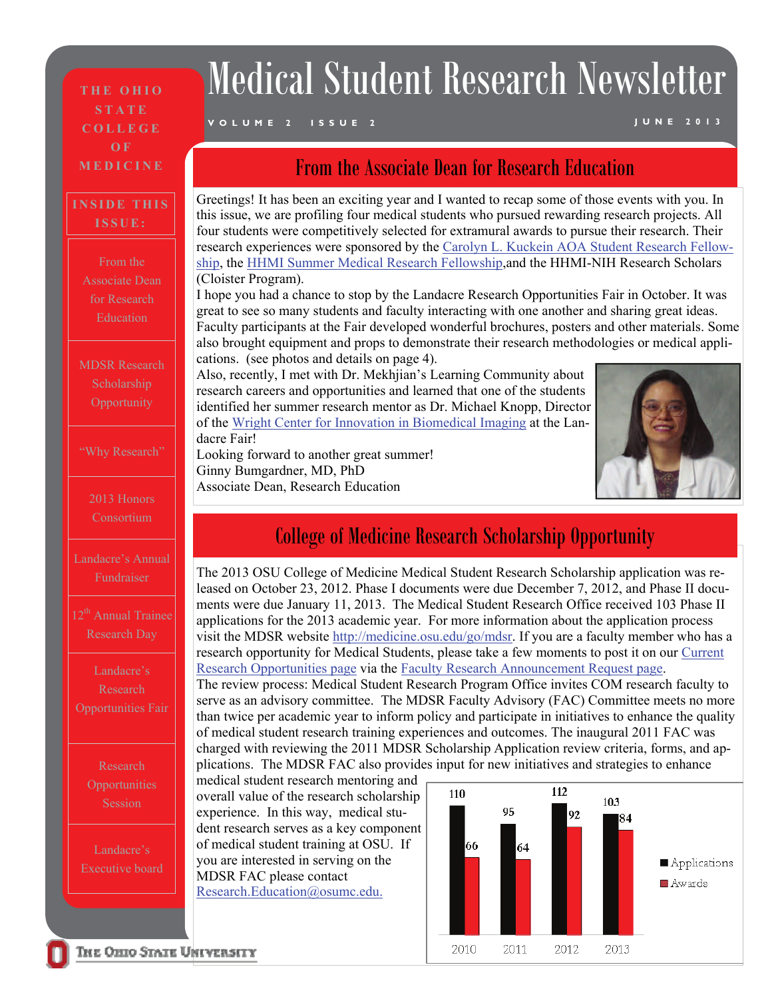**THE OHIO STATE COLLEGE OF MEDICINE** 

#### **INSIDE THIS ISSUE:**

From the Associate Dean

MDSR Research Scholarship **Opportunity** 

2013 Honors Consortium

Landacre's Annual Fundraiser

12<sup>th</sup> Annual Trainee Research Day

Research

Research **Opportunities** Session

Landacre's Executive board

# Medical Student Research Newsletter

#### **VOLUME 2 ISSUE 2 JUNE 2013**

#### From the Associate Dean for Research Education

Greetings! It has been an exciting year and I wanted to recap some of those events with you. In this issue, we are profiling four medical students who pursued rewarding research projects. All four students were competitively selected for extramural awards to pursue their research. Their research experiences were sponsored by the [Carolyn L. Kuckein AOA Student Research Fellow](https://brandsource.osumc.edu/downloadcenter/Print%20Communications/(http:/rwjms.umdnj.edu/education/current_students/research_commexp/research_listing/research_clinical/aoaclk.html)[ship](https://brandsource.osumc.edu/downloadcenter/Print%20Communications/(http:/rwjms.umdnj.edu/education/current_students/research_commexp/research_listing/research_clinical/aoaclk.html), the [HHMI Summer Medical Research Fellowship](https://brandsource.osumc.edu/downloadcenter/Print%20Communications/(http:/www.hhmi.org/grants/individuals/medical-fellows/summer/index.html),and the HHMI-NIH Research Scholars (Cloister Program).

I hope you had a chance to stop by the Landacre Research Opportunities Fair in October. It was great to see so many students and faculty interacting with one another and sharing great ideas. Faculty participants at the Fair developed wonderful brochures, posters and other materials. Some also brought equipment and props to demonstrate their research methodologies or medical applications. (see photos and details on page 4).

Also, recently, I met with Dr. Mekhjian's Learning Community about research careers and opportunities and learned that one of the students identified her summer research mentor as Dr. Michael Knopp, Director of the [Wright Center for Innovation in Biomedical Imaging](http://radiology.osu.edu/11205.cfm) at the Landacre Fair!

Looking forward to another great summer! Ginny Bumgardner, MD, PhD Associate Dean, Research Education



#### College of Medicine Research Scholarship Opportunity

The 2013 OSU College of Medicine Medical Student Research Scholarship application was released on October 23, 2012. Phase I documents were due December 7, 2012, and Phase II documents were due January 11, 2013. The Medical Student Research Office received 103 Phase II applications for the 2013 academic year. For more information about the application process visit the MDSR website [http://medicine.osu.edu/go/mdsr](https://medicine.osu.edu/go/mdsr). If you are a faculty member who has a research opportunity for Medical Students, please take a few moments to post it on our [Current](https://medicine.osu.edu/research_ed/medical_students/researchopportunities/pages/currentresearchopportunities.aspx)  [Research Opportunities page](https://medicine.osu.edu/research_ed/medical_students/researchopportunities/pages/currentresearchopportunities.aspx) via the [Faculty Research Announcement Request page.](https://medicine.osu.edu/research_ed/medical_students/researchopportunities/facultyreq/pages/index.aspx)

The review process: Medical Student Research Program Office invites COM research faculty to serve as an advisory committee. The MDSR Faculty Advisory (FAC) Committee meets no more than twice per academic year to inform policy and participate in initiatives to enhance the quality of medical student research training experiences and outcomes. The inaugural 2011 FAC was charged with reviewing the 2011 MDSR Scholarship Application review criteria, forms, and applications. The MDSR FAC also provides input for new initiatives and strategies to enhance

medical student research mentoring and overall value of the research scholarship experience. In this way, medical student research serves as a key component of medical student training at OSU. If you are interested in serving on the MDSR FAC please contact [Research.Education@osumc.edu.](mailto:Research.Education@osumc.edu.)

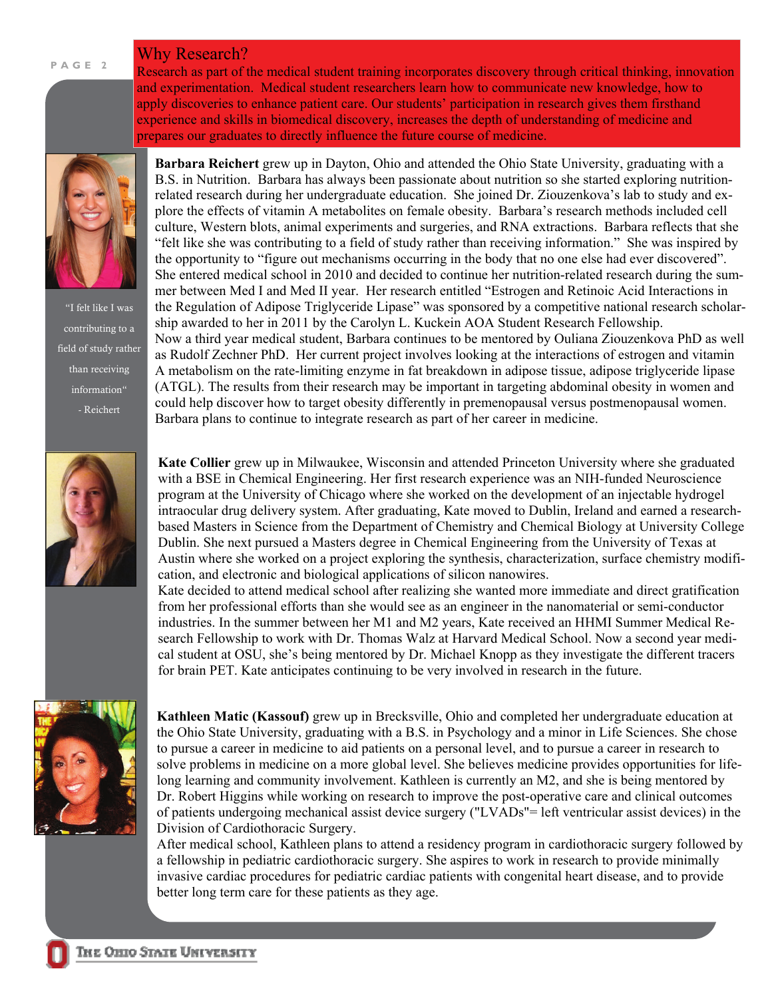#### Why Research?



**PAGE 2** 

"I felt like I was contributing to a field of study rather than receiving information" - Reichert



Research as part of the medical student training incorporates discovery through critical thinking, innovation and experimentation. Medical student researchers learn how to communicate new knowledge, how to apply discoveries to enhance patient care. Our students' participation in research gives them firsthand experience and skills in biomedical discovery, increases the depth of understanding of medicine and prepares our graduates to directly influence the future course of medicine.

**Barbara Reichert** grew up in Dayton, Ohio and attended the Ohio State University, graduating with a B.S. in Nutrition. Barbara has always been passionate about nutrition so she started exploring nutritionrelated research during her undergraduate education. She joined Dr. Ziouzenkova's lab to study and explore the effects of vitamin A metabolites on female obesity. Barbara's research methods included cell culture, Western blots, animal experiments and surgeries, and RNA extractions. Barbara reflects that she "felt like she was contributing to a field of study rather than receiving information." She was inspired by the opportunity to "figure out mechanisms occurring in the body that no one else had ever discovered". She entered medical school in 2010 and decided to continue her nutrition-related research during the summer between Med I and Med II year. Her research entitled "Estrogen and Retinoic Acid Interactions in the Regulation of Adipose Triglyceride Lipase" was sponsored by a competitive national research scholarship awarded to her in 2011 by the Carolyn L. Kuckein AOA Student Research Fellowship. Now a third year medical student, Barbara continues to be mentored by Ouliana Ziouzenkova PhD as well as Rudolf Zechner PhD. Her current project involves looking at the interactions of estrogen and vitamin A metabolism on the rate-limiting enzyme in fat breakdown in adipose tissue, adipose triglyceride lipase (ATGL). The results from their research may be important in targeting abdominal obesity in women and could help discover how to target obesity differently in premenopausal versus postmenopausal women. Barbara plans to continue to integrate research as part of her career in medicine.

**Kate Collier** grew up in Milwaukee, Wisconsin and attended Princeton University where she graduated with a BSE in Chemical Engineering. Her first research experience was an NIH-funded Neuroscience program at the University of Chicago where she worked on the development of an injectable hydrogel intraocular drug delivery system. After graduating, Kate moved to Dublin, Ireland and earned a researchbased Masters in Science from the Department of Chemistry and Chemical Biology at University College Dublin. She next pursued a Masters degree in Chemical Engineering from the University of Texas at Austin where she worked on a project exploring the synthesis, characterization, surface chemistry modification, and electronic and biological applications of silicon nanowires.

Kate decided to attend medical school after realizing she wanted more immediate and direct gratification from her professional efforts than she would see as an engineer in the nanomaterial or semi-conductor industries. In the summer between her M1 and M2 years, Kate received an HHMI Summer Medical Research Fellowship to work with Dr. Thomas Walz at Harvard Medical School. Now a second year medical student at OSU, she's being mentored by Dr. Michael Knopp as they investigate the different tracers for brain PET. Kate anticipates continuing to be very involved in research in the future.



**Kathleen Matic (Kassouf)** grew up in Brecksville, Ohio and completed her undergraduate education at the Ohio State University, graduating with a B.S. in Psychology and a minor in Life Sciences. She chose to pursue a career in medicine to aid patients on a personal level, and to pursue a career in research to solve problems in medicine on a more global level. She believes medicine provides opportunities for lifelong learning and community involvement. Kathleen is currently an M2, and she is being mentored by Dr. Robert Higgins while working on research to improve the post-operative care and clinical outcomes of patients undergoing mechanical assist device surgery ("LVADs"= left ventricular assist devices) in the Division of Cardiothoracic Surgery.

After medical school, Kathleen plans to attend a residency program in cardiothoracic surgery followed by a fellowship in pediatric cardiothoracic surgery. She aspires to work in research to provide minimally invasive cardiac procedures for pediatric cardiac patients with congenital heart disease, and to provide better long term care for these patients as they age.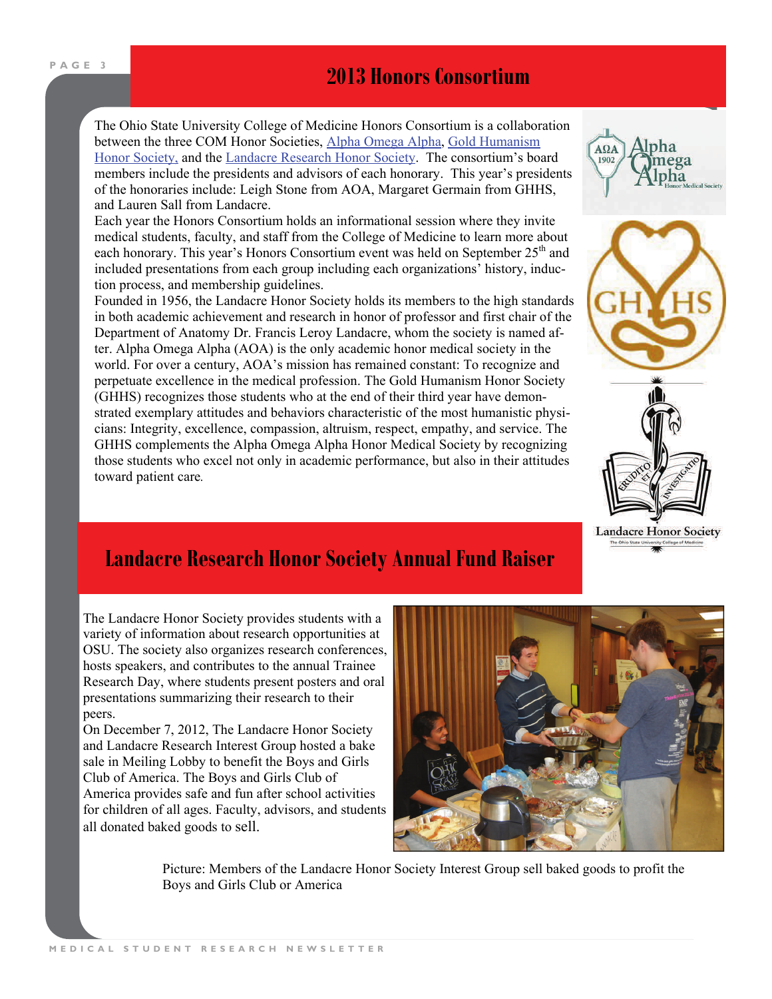## **PAGE 3** *<b>2013 Honors Consortium*

The Ohio State University College of Medicine Honors Consortium is a collaboration between the three COM Honor Societies, [Alpha Omega Alpha](https://medicine.osu.edu/students/life/organizations/honor_societies/aoa/pages/index.aspx), [Gold Humanism](https://medicine.osu.edu/students/life/organizations/honor_societies/ghhs/pages/index.aspx)  [Honor Society,](https://medicine.osu.edu/students/life/organizations/honor_societies/ghhs/pages/index.aspx) and the [Landacre Research Honor Society](https://medicine.osu.edu/students/life/organizations/honor_societies/landacre/pages/index.aspx). The consortium's board members include the presidents and advisors of each honorary. This year's presidents of the honoraries include: Leigh Stone from AOA, Margaret Germain from GHHS, and Lauren Sall from Landacre.

Each year the Honors Consortium holds an informational session where they invite medical students, faculty, and staff from the College of Medicine to learn more about each honorary. This year's Honors Consortium event was held on September 25<sup>th</sup> and included presentations from each group including each organizations' history, induction process, and membership guidelines.

Founded in 1956, the Landacre Honor Society holds its members to the high standards in both academic achievement and research in honor of professor and first chair of the Department of Anatomy Dr. Francis Leroy Landacre, whom the society is named after. Alpha Omega Alpha (AOA) is the only academic honor medical society in the world. For over a century, AOA's mission has remained constant: To recognize and perpetuate excellence in the medical profession. The Gold Humanism Honor Society (GHHS) recognizes those students who at the end of their third year have demonstrated exemplary attitudes and behaviors characteristic of the most humanistic physicians: Integrity, excellence, compassion, altruism, respect, empathy, and service. The GHHS complements the Alpha Omega Alpha Honor Medical Society by recognizing those students who excel not only in academic performance, but also in their attitudes toward patient care*.* 







#### **Landacre Research Honor Society Annual Fund Raiser**

The Landacre Honor Society provides students with a variety of information about research opportunities at OSU. The society also organizes research conferences, hosts speakers, and contributes to the annual Trainee Research Day, where students present posters and oral presentations summarizing their research to their peers.

On December 7, 2012, The Landacre Honor Society and Landacre Research Interest Group hosted a bake sale in Meiling Lobby to benefit the Boys and Girls Club of America. The Boys and Girls Club of America provides safe and fun after school activities for children of all ages. Faculty, advisors, and students all donated baked goods to sell.



Picture: Members of the Landacre Honor Society Interest Group sell baked goods to profit the Boys and Girls Club or America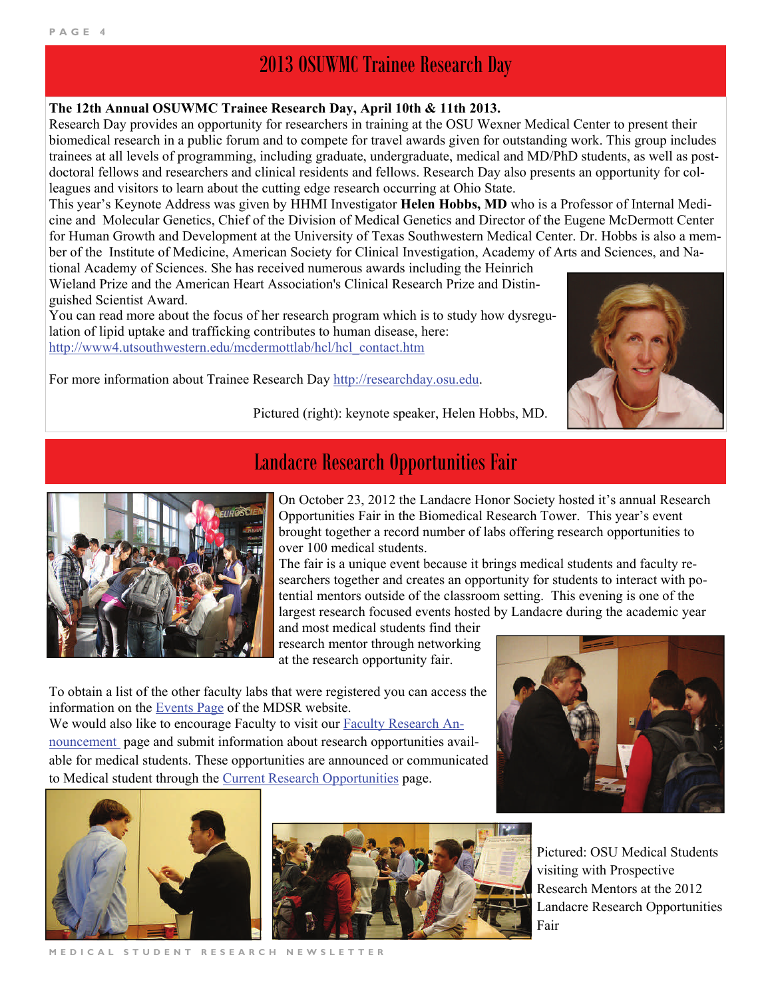## 2013 OSUWMC Trainee Research Day

#### **The 12th Annual OSUWMC Trainee Research Day, April 10th & 11th 2013.**

Research Day provides an opportunity for researchers in training at the OSU Wexner Medical Center to present their biomedical research in a public forum and to compete for travel awards given for outstanding work. This group includes trainees at all levels of programming, including graduate, undergraduate, medical and MD/PhD students, as well as postdoctoral fellows and researchers and clinical residents and fellows. Research Day also presents an opportunity for colleagues and visitors to learn about the cutting edge research occurring at Ohio State.

This year's Keynote Address was given by HHMI Investigator **Helen Hobbs, MD** who is a Professor of Internal Medicine and Molecular Genetics, Chief of the Division of Medical Genetics and Director of the Eugene McDermott Center for Human Growth and Development at the University of Texas Southwestern Medical Center. Dr. Hobbs is also a member of the Institute of Medicine, American Society for Clinical Investigation, Academy of Arts and Sciences, and Na-

tional Academy of Sciences. She has received numerous awards including the Heinrich Wieland Prize and the American Heart Association's Clinical Research Prize and Distinguished Scientist Award.

You can read more about the focus of her research program which is to study how dysregulation of lipid uptake and trafficking contributes to human disease, here: [http://www4.utsouthwestern.edu/mcdermottlab/hcl/hcl\\_contact.htm](http://www4.utsouthwestern.edu/mcdermottlab/hcl/hcl_contact.htm)



For more information about Trainee Research Day <http://researchday.osu.edu>.

Pictured (right): keynote speaker, Helen Hobbs, MD.



### Landacre Research Opportunities Fair

On October 23, 2012 the Landacre Honor Society hosted it's annual Research Opportunities Fair in the Biomedical Research Tower. This year's event brought together a record number of labs offering research opportunities to over 100 medical students.

The fair is a unique event because it brings medical students and faculty researchers together and creates an opportunity for students to interact with potential mentors outside of the classroom setting. This evening is one of the largest research focused events hosted by Landacre during the academic year

and most medical students find their research mentor through networking at the research opportunity fair.

To obtain a list of the other faculty labs that were registered you can access the information on the [Events Page](https://medicine.osu.edu/research_ed/medical_students/events/pages/index.aspx) of the MDSR website.

We would also like to encourage Faculty to visit our [Faculty Research An](https://medicine.osu.edu/research_ed/medical_students/researchopportunities/facultyreq/pages/index.aspx)[nouncement](https://medicine.osu.edu/research_ed/medical_students/researchopportunities/facultyreq/pages/index.aspx) page and submit information about research opportunities available for medical students. These opportunities are announced or communicated to Medical student through the [Current Research Opportunities](https://medicine.osu.edu/research_ed/medical_students/researchopportunities/pages/currentresearchopportunities.aspx) page.







Pictured: OSU Medical Students visiting with Prospective Research Mentors at the 2012 Landacre Research Opportunities Fair